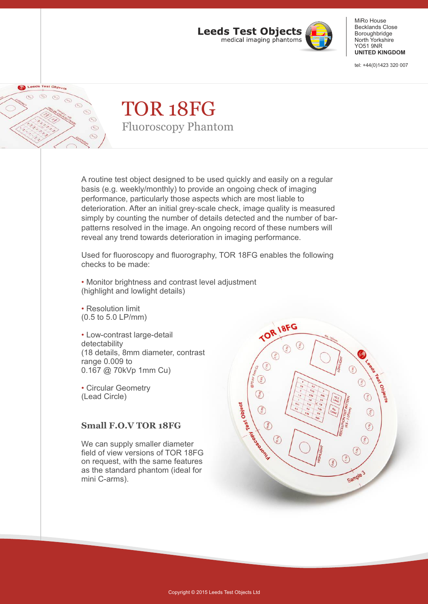

MiRo House Becklands Close Boroughbridge North Yorkshire YO51 9NR **UNITED KINGDOM**

tel: +44(0)1423 320 007

#### Leeds Test Object  $\circledcirc$  $\odot$  $\odot$  $\odot$  $\circledcirc$  $\odot$  $\odot$

## TOR 18FG Fluoroscopy Phantom

A routine test object designed to be used quickly and easily on a regular basis (e.g. weekly/monthly) to provide an ongoing check of imaging performance, particularly those aspects which are most liable to deterioration. After an initial grey-scale check, image quality is measured simply by counting the number of details detected and the number of barpatterns resolved in the image. An ongoing record of these numbers will reveal any trend towards deterioration in imaging performance.

Used for fluoroscopy and fluorography, TOR 18FG enables the following checks to be made:

• Monitor brightness and contrast level adjustment (highlight and lowlight details)

• Resolution limit (0.5 to 5.0 LP/mm)

Low-contrast large-detail • detectability (18 details, 8mm diameter, contrast range 0.009 to 0.167 @ 70kVp 1mm Cu)

Circular Geometry • (Lead Circle)

### **Small F.O.V TOR 18FG**

field of view versions of TOR 18FG on request, with the same features as the standard phantom (ideal for mini C-arms). We can supply smaller diameter